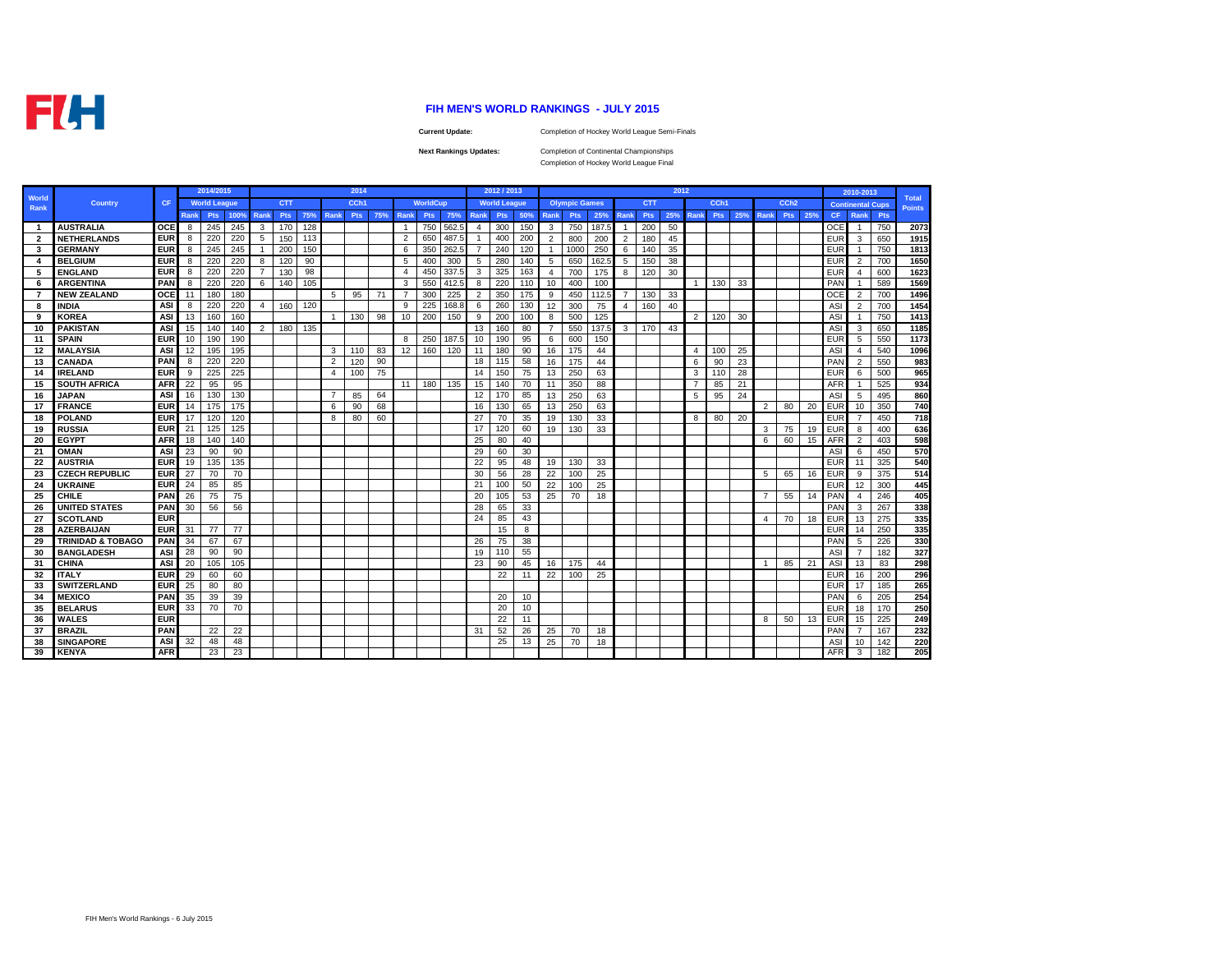**FLH** 

## **FIH MEN'S WORLD RANKINGS - JULY 2015**

**Current Update:**

Completion of Hockey World League Semi-Finals

**Next Rankings Updates:** 

Completion of Continental Championships Completion of Hockey World League Final

|                |                              |            |             | 2014/2015           |      |                |            |     |                | 2014       |     |                |                 |       |                | 2012 / 2013         |     |                |                      |       |                |            | 2012 |                |      |     |                |                  |     |            | 2010-2013               |     |                               |
|----------------|------------------------------|------------|-------------|---------------------|------|----------------|------------|-----|----------------|------------|-----|----------------|-----------------|-------|----------------|---------------------|-----|----------------|----------------------|-------|----------------|------------|------|----------------|------|-----|----------------|------------------|-----|------------|-------------------------|-----|-------------------------------|
| World<br>Rank  | <b>Country</b>               | <b>CF</b>  |             | <b>World League</b> |      |                | <b>CTT</b> |     |                | CCh1       |     |                | <b>WorldCup</b> |       |                | <b>World League</b> |     |                | <b>Olympic Games</b> |       |                | <b>CTT</b> |      |                | CCh1 |     |                | CCh <sub>2</sub> |     |            | <b>Continental Cups</b> |     | <b>Total</b><br><b>Points</b> |
|                |                              |            | <b>Rank</b> | <b>Pts</b>          | 100% | Rank           | Pts        | 75% | Rank           | <b>Pts</b> | 75% | Rank           | <b>Pts</b>      | 75%   | Rank           | <b>Pts</b>          | 50% | Rank           | <b>Pts</b>           | 25%   | Rank           | <b>Pts</b> | 25%  | <b>Rank</b>    | Pts  | 25% | Rank           | <b>Pts</b>       | 25% | <b>CF</b>  | Rank                    | Pts |                               |
| $\overline{1}$ | <b>AUSTRALIA</b>             | OCE        | 8           | 245                 | 245  | -3             | 170        | 128 |                |            |     | $\overline{1}$ | 750             | 562.5 | $\overline{4}$ | 300                 | 150 | 3              | 750                  | 187.5 | $\mathbf{1}$   | 200        | 50   |                |      |     |                |                  |     | <b>OCE</b> |                         | 750 | 2073                          |
| $\overline{2}$ | <b>NETHERLANDS</b>           | <b>EUR</b> | 8           | 220                 | 220  | 5              | 150        | 113 |                |            |     | $\overline{2}$ | 650             | 487.  | $\mathbf{1}$   | 400                 | 200 | $\overline{2}$ | 800                  | 200   | $\overline{2}$ | 180        | 45   |                |      |     |                |                  |     | <b>EUR</b> | 3                       | 650 | 1915                          |
| 3              | <b>GERMANY</b>               | <b>EUR</b> | 8           | 245                 | 245  | $\overline{1}$ | 200        | 150 |                |            |     | 6              | 350             | 262.  | $\overline{7}$ | 240                 | 120 | -1             | 1000                 | 250   | 6              | 140        | 35   |                |      |     |                |                  |     | <b>EUR</b> |                         | 750 | 1813                          |
| 4              | <b>BELGIUM</b>               | <b>EUR</b> | 8           | 220                 | 220  | 8              | 120        | 90  |                |            |     | 5              | 400             | 300   | 5              | 280                 | 140 | 5              | 650                  | 162.5 | 5              | 150        | 38   |                |      |     |                |                  |     | <b>EUR</b> | $\overline{2}$          | 700 | 1650                          |
| 5.             | <b>ENGLAND</b>               | <b>EUR</b> | 8           | 220                 | 220  | $\overline{7}$ | 130        | 98  |                |            |     | 4              | 450             | 337.5 | 3              | 325                 | 163 | $\overline{4}$ | 700                  | 175   | 8              | 120        | 30   |                |      |     |                |                  |     | <b>EUR</b> | $\overline{4}$          | 600 | 1623                          |
| 6              | <b>ARGENTINA</b>             | PAN        | 8           | 220                 | 220  | 6              | 140        | 105 |                |            |     | 3              | 550             | 412.5 | 8              | 220                 | 110 | 10             | 400                  | 100   |                |            |      | $\mathbf{1}$   | 130  | 33  |                |                  |     | PAN        |                         | 589 | 1569                          |
| 7              | <b>NEW ZEALAND</b>           | OCE        | 11          | 180                 | 180  |                |            |     | 5              | 95         | 71  | $\overline{7}$ | 300             | 225   | $\overline{2}$ | 350                 | 175 | 9              | 450                  | 112.5 | $\overline{7}$ | 130        | 33   |                |      |     |                |                  |     | OCE        | $\overline{2}$          | 700 | 1496                          |
| 8              | <b>INDIA</b>                 | <b>ASI</b> | 8           | 220                 | 220  | $\overline{4}$ | 160        | 120 |                |            |     | 9              | 225             | 168.8 | 6              | 260                 | 130 | 12             | 300                  | 75    | $\overline{4}$ | 160        | 40   |                |      |     |                |                  |     | <b>ASI</b> | $\overline{2}$          | 700 | 1454                          |
| 9              | <b>KOREA</b>                 | <b>ASI</b> | 13          | 160                 | 160  |                |            |     | $\overline{1}$ | 130        | 98  | 10             | 200             | 150   | 9              | 200                 | 100 | 8              | 500                  | 125   |                |            |      | $\overline{2}$ | 120  | 30  |                |                  |     | ASI        |                         | 750 | 1413                          |
| 10             | <b>PAKISTAN</b>              | <b>ASI</b> | 15          | 140                 | 140  | $\overline{2}$ | 180        | 135 |                |            |     |                |                 |       | 13             | 160                 | 80  | $\overline{7}$ | 550                  | 137.5 | $\mathbf{3}$   | 170        | 43   |                |      |     |                |                  |     | ASI        | 3                       | 650 | 1185                          |
| 11             | <b>SPAIN</b>                 | <b>EUR</b> | 10          | 190                 | 190  |                |            |     |                |            |     | 8              | 250             | 187.5 | 10             | 190                 | 95  | 6              | 600                  | 150   |                |            |      |                |      |     |                |                  |     | <b>EUR</b> | 5                       | 550 | 1173                          |
| 12             | <b>MALAYSIA</b>              | ASI        | 12          | 195                 | 195  |                |            |     | 3              | 110        | 83  | 12             | 160             | 120   | 11             | 180                 | 90  | 16             | 175                  | 44    |                |            |      | $\overline{4}$ | 100  | 25  |                |                  |     | ASI        | 4                       | 540 | 1096                          |
| 13             | <b>CANADA</b>                | PAN        | 8           | 220                 | 220  |                |            |     | $\overline{2}$ | 120        | 90  |                |                 |       | 18             | 115                 | 58  | 16             | 175                  | 44    |                |            |      | 6              | 90   | 23  |                |                  |     | PAN        | $\overline{2}$          | 550 | 983                           |
| 14             | <b>IRELAND</b>               | <b>EUR</b> | 9           | 225                 | 225  |                |            |     | $\overline{4}$ | 100        | 75  |                |                 |       | 14             | 150                 | 75  | 13             | 250                  | 63    |                |            |      | 3              | 110  | 28  |                |                  |     | <b>EUR</b> | 6                       | 500 | 965                           |
| 15             | <b>SOUTH AFRICA</b>          | <b>AFR</b> | 22          | 95                  | 95   |                |            |     |                |            |     | 11             | 180             | 135   | 15             | 140                 | 70  | 11             | 350                  | 88    |                |            |      |                | 85   | 21  |                |                  |     | AFR        |                         | 525 | 934                           |
| 16             | <b>JAPAN</b>                 | <b>ASI</b> | 16          | 130                 | 130  |                |            |     | $\overline{7}$ | 85         | 64  |                |                 |       | 12             | 170                 | 85  | 13             | 250                  | 63    |                |            |      | 5              | 95   | 24  |                |                  |     | ASI        | 5                       | 495 | 860                           |
| 17             | <b>FRANCE</b>                | <b>EUR</b> | 14          | 175                 | 175  |                |            |     | 6              | 90         | 68  |                |                 |       | 16             | 130                 | 65  | 13             | 250                  | 63    |                |            |      |                |      |     | 2              | 80               | 20  | EUR        | 10                      | 350 | 740                           |
| 18             | <b>POLAND</b>                | <b>EUR</b> | 17          | 120                 | 120  |                |            |     | 8              | 80         | 60  |                |                 |       | 27             | 70                  | 35  | 19             | 130                  | 33    |                |            |      | 8              | 80   | 20  |                |                  |     | EUR        |                         | 450 | 718                           |
| 19             | <b>RUSSIA</b>                | <b>EUR</b> | 21          | 125                 | 125  |                |            |     |                |            |     |                |                 |       | 17             | 120                 | 60  | 19             | 130                  | 33    |                |            |      |                |      |     | 3              | 75               | 19  | <b>EUR</b> | 8                       | 400 | 636                           |
| 20             | <b>EGYPT</b>                 | <b>AFR</b> | 18          | 140                 | 140  |                |            |     |                |            |     |                |                 |       | 25             | 80                  | 40  |                |                      |       |                |            |      |                |      |     | 6              | 60               | 15  | AFR        | $\overline{2}$          | 403 | 598                           |
| 21             | OMAN                         | <b>ASI</b> | 23          | 90                  | 90   |                |            |     |                |            |     |                |                 |       | 29             | 60                  | 30  |                |                      |       |                |            |      |                |      |     |                |                  |     | <b>ASI</b> | - 6                     | 450 | 570                           |
| 22             | <b>AUSTRIA</b>               | <b>EUR</b> | 19          | 135                 | 135  |                |            |     |                |            |     |                |                 |       | 22             | 95                  | 48  | 19             | 130                  | 33    |                |            |      |                |      |     |                |                  |     | <b>EUR</b> | 11                      | 325 | 540                           |
| 23             | <b>CZECH REPUBLIC</b>        | <b>EUR</b> | 27          | 70                  | 70   |                |            |     |                |            |     |                |                 |       | 30             | 56                  | 28  | 22             | 100                  | 25    |                |            |      |                |      |     | 5              | 65               | 16  | <b>EUR</b> | 9                       | 375 | 514                           |
| 24             | <b>UKRAINE</b>               | <b>EUR</b> | 24          | 85                  | 85   |                |            |     |                |            |     |                |                 |       | 21             | 100                 | 50  | 22             | 100                  | 25    |                |            |      |                |      |     |                |                  |     | <b>EUR</b> | 12                      | 300 | 445                           |
| 25             | <b>CHILE</b>                 | PAN        | 26          | 75                  | 75   |                |            |     |                |            |     |                |                 |       | 20             | 105                 | 53  | 25             | 70                   | 18    |                |            |      |                |      |     | $\overline{7}$ | 55               | 14  | PAN        | $\overline{4}$          | 246 | 405                           |
| 26             | <b>UNITED STATES</b>         | PAN        | 30          | 56                  | 56   |                |            |     |                |            |     |                |                 |       | 28             | 65                  | 33  |                |                      |       |                |            |      |                |      |     |                |                  |     | PAN        | -3                      | 267 | 338                           |
| 27             | <b>SCOTLAND</b>              | <b>EUR</b> |             |                     |      |                |            |     |                |            |     |                |                 |       | 24             | 85                  | 43  |                |                      |       |                |            |      |                |      |     | 4              | 70               | 18  | <b>EUR</b> | 13                      | 275 | 335                           |
| 28             | <b>AZERBAIJAN</b>            | <b>EUR</b> | 31          | -77                 | 77   |                |            |     |                |            |     |                |                 |       |                | 15                  | 8   |                |                      |       |                |            |      |                |      |     |                |                  |     | EUR        | 14                      | 250 | 335                           |
| 29             | <b>TRINIDAD &amp; TOBAGO</b> | PAN        | 34          | 67                  | 67   |                |            |     |                |            |     |                |                 |       | 26             | 75                  | 38  |                |                      |       |                |            |      |                |      |     |                |                  |     | PAN        | 5                       | 226 | 330                           |
| 30             | <b>BANGLADESH</b>            | ASI        | 28          | 90                  | 90   |                |            |     |                |            |     |                |                 |       | 19             | 110                 | 55  |                |                      |       |                |            |      |                |      |     |                |                  |     | <b>ASI</b> | 7                       | 182 | 327                           |
| 31             | <b>CHINA</b>                 | <b>ASI</b> | 20          | 105                 | 105  |                |            |     |                |            |     |                |                 |       | 23             | 90                  | 45  | 16             | 175                  | 44    |                |            |      |                |      |     |                | 85               | 21  | <b>ASI</b> | 13                      | 83  | 298                           |
| 32             | <b>ITALY</b>                 | <b>EUR</b> | 29          | 60                  | 60   |                |            |     |                |            |     |                |                 |       |                | 22                  | 11  | 22             | 100                  | 25    |                |            |      |                |      |     |                |                  |     | <b>EUR</b> | 16                      | 200 | 296                           |
| 33             | <b>SWITZERLAND</b>           | <b>EUR</b> | 25          | 80                  | 80   |                |            |     |                |            |     |                |                 |       |                |                     |     |                |                      |       |                |            |      |                |      |     |                |                  |     | EUR        | 17                      | 185 | 265                           |
| 34             | <b>MEXICO</b>                | PAN        | 35          | 39                  | 39   |                |            |     |                |            |     |                |                 |       |                | 20                  | 10  |                |                      |       |                |            |      |                |      |     |                |                  |     | PAN        | - 6                     | 205 | 254                           |
| 35             | <b>BELARUS</b>               | <b>EUR</b> | 33          | 70                  | 70   |                |            |     |                |            |     |                |                 |       |                | 20                  | 10  |                |                      |       |                |            |      |                |      |     |                |                  |     | <b>EUR</b> | 18                      | 170 | 250                           |
| 36             | <b>WALES</b>                 | <b>EUR</b> |             |                     |      |                |            |     |                |            |     |                |                 |       |                | 22                  | 11  |                |                      |       |                |            |      |                |      |     | 8              | 50               | 13  | <b>EUR</b> | 15                      | 225 | 249                           |
| 37             | <b>BRAZIL</b>                | PAN        |             | 22                  | 22   |                |            |     |                |            |     |                |                 |       | 31             | 52                  | 26  | 25             | 70                   | 18    |                |            |      |                |      |     |                |                  |     | <b>PAN</b> |                         | 167 | 232                           |
| 38             | <b>SINGAPORE</b>             | ASI        | 32          | 48                  | 48   |                |            |     |                |            |     |                |                 |       |                | 25                  | 13  | 25             | 70                   | 18    |                |            |      |                |      |     |                |                  |     | ASI        | 10                      | 142 | 220                           |
| 39             | <b>KENYA</b>                 | <b>AFR</b> |             | 23                  | 23   |                |            |     |                |            |     |                |                 |       |                |                     |     |                |                      |       |                |            |      |                |      |     |                |                  |     | <b>AFR</b> | 3                       | 182 | 205                           |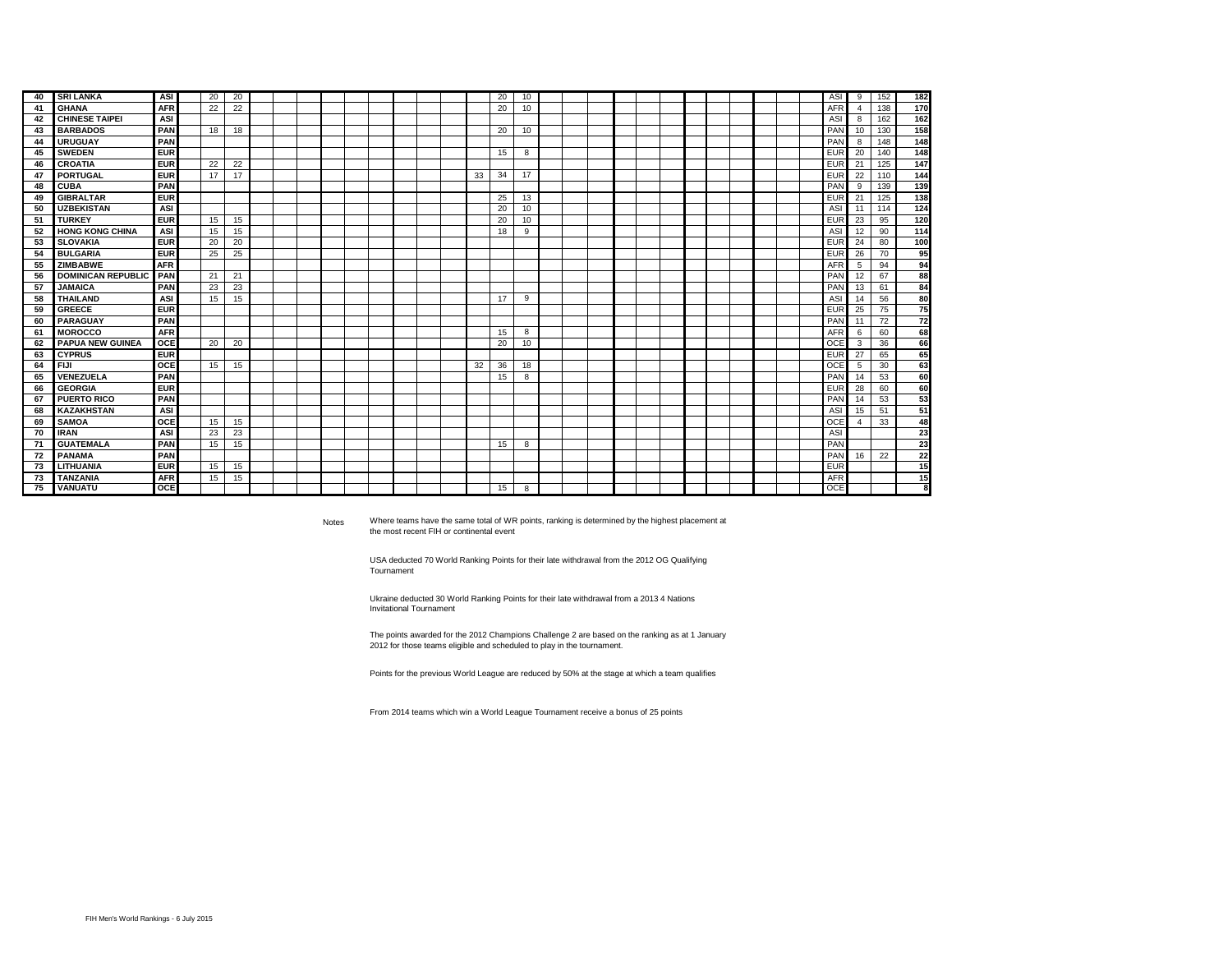| 40 | <b>SRI LANKA</b>          | ASI        | 20 | 20 |  |  |  |  |    | 20 | 10 |  |  |  |  |  | ASI        | 9              | 152 | 182 |
|----|---------------------------|------------|----|----|--|--|--|--|----|----|----|--|--|--|--|--|------------|----------------|-----|-----|
| 41 | <b>GHANA</b>              | <b>AFR</b> | 22 | 22 |  |  |  |  |    | 20 | 10 |  |  |  |  |  | <b>AFR</b> | $\overline{4}$ | 138 | 170 |
| 42 | <b>CHINESE TAIPEI</b>     | ASI        |    |    |  |  |  |  |    |    |    |  |  |  |  |  | ASI        | 8              | 162 | 162 |
| 43 | <b>BARBADOS</b>           | PAN        | 18 | 18 |  |  |  |  |    | 20 | 10 |  |  |  |  |  | PAN        | 10             | 130 | 158 |
| 44 | <b>URUGUAY</b>            | PAN        |    |    |  |  |  |  |    |    |    |  |  |  |  |  | PAN        | 8              | 148 | 148 |
| 45 | <b>SWEDEN</b>             | <b>EUR</b> |    |    |  |  |  |  |    | 15 | 8  |  |  |  |  |  | <b>EUR</b> | 20             | 140 | 148 |
| 46 | <b>CROATIA</b>            | <b>EUR</b> | 22 | 22 |  |  |  |  |    |    |    |  |  |  |  |  | <b>EUR</b> | 21             | 125 | 147 |
| 47 | PORTUGAL                  | <b>EUR</b> | 17 | 17 |  |  |  |  | 33 | 34 | 17 |  |  |  |  |  | <b>EUR</b> | 22             | 110 | 144 |
| 48 | <b>CUBA</b>               | PAN        |    |    |  |  |  |  |    |    |    |  |  |  |  |  | PAN        | 9              | 139 | 139 |
| 49 | <b>GIBRALTAR</b>          | <b>EUR</b> |    |    |  |  |  |  |    | 25 | 13 |  |  |  |  |  | <b>EUR</b> | 21             | 125 | 138 |
| 50 | <b>UZBEKISTAN</b>         | ASI        |    |    |  |  |  |  |    | 20 | 10 |  |  |  |  |  | ASI        | 11             | 114 | 124 |
| 51 | <b>TURKEY</b>             | <b>EUR</b> | 15 | 15 |  |  |  |  |    | 20 | 10 |  |  |  |  |  | <b>EUR</b> | 23             | 95  | 120 |
| 52 | <b>HONG KONG CHINA</b>    | ASI        | 15 | 15 |  |  |  |  |    | 18 | 9  |  |  |  |  |  | ASI        | 12             | 90  | 114 |
| 53 | <b>SLOVAKIA</b>           | <b>EUR</b> | 20 | 20 |  |  |  |  |    |    |    |  |  |  |  |  | <b>EUR</b> | 24             | 80  | 100 |
| 54 | <b>BULGARIA</b>           | <b>EUR</b> | 25 | 25 |  |  |  |  |    |    |    |  |  |  |  |  | <b>EUR</b> | 26             | 70  | 95  |
| 55 | <b>ZIMBABWE</b>           | <b>AFR</b> |    |    |  |  |  |  |    |    |    |  |  |  |  |  | <b>AFR</b> | 5              | 94  | 94  |
| 56 | <b>DOMINICAN REPUBLIC</b> | <b>PAN</b> | 21 | 21 |  |  |  |  |    |    |    |  |  |  |  |  | PAN        | 12             | 67  | 88  |
| 57 | <b>JAMAICA</b>            | PAN        | 23 | 23 |  |  |  |  |    |    |    |  |  |  |  |  | PAN        | 13             | 61  | 84  |
| 58 | <b>THAILAND</b>           | ASI        | 15 | 15 |  |  |  |  |    | 17 | 9  |  |  |  |  |  | ASI        | 14             | 56  | 80  |
| 59 | <b>GREECE</b>             | <b>EUR</b> |    |    |  |  |  |  |    |    |    |  |  |  |  |  | <b>EUR</b> | 25             | 75  | 75  |
| 60 | <b>PARAGUAY</b>           | PAN        |    |    |  |  |  |  |    |    |    |  |  |  |  |  | PAN        | 11             | 72  | 72  |
| 61 | <b>MOROCCO</b>            | <b>AFR</b> |    |    |  |  |  |  |    | 15 | 8  |  |  |  |  |  | <b>AFR</b> | 6              | 60  | 68  |
| 62 | <b>PAPUA NEW GUINEA</b>   | <b>OCE</b> | 20 | 20 |  |  |  |  |    | 20 | 10 |  |  |  |  |  | OCE        | 3              | 36  | 66  |
| 63 | <b>CYPRUS</b>             | <b>EUR</b> |    |    |  |  |  |  |    |    |    |  |  |  |  |  | <b>EUR</b> | 27             | 65  | 65  |
| 64 | <b>FIJI</b>               | <b>OCE</b> | 15 | 15 |  |  |  |  | 32 | 36 | 18 |  |  |  |  |  | OCE        | 5              | 30  | 63  |
| 65 | <b>VENEZUELA</b>          | PAN        |    |    |  |  |  |  |    | 15 | 8  |  |  |  |  |  | PAN        | 14             | 53  | 60  |
| 66 | <b>GEORGIA</b>            | <b>EUR</b> |    |    |  |  |  |  |    |    |    |  |  |  |  |  | <b>EUR</b> | 28             | 60  | 60  |
| 67 | <b>PUERTO RICO</b>        | PAN        |    |    |  |  |  |  |    |    |    |  |  |  |  |  | PAN        | 14             | 53  | 53  |
| 68 | <b>KAZAKHSTAN</b>         | ASI        |    |    |  |  |  |  |    |    |    |  |  |  |  |  | ASI        | 15             | 51  | 51  |
| 69 | <b>SAMOA</b>              | <b>OCE</b> | 15 | 15 |  |  |  |  |    |    |    |  |  |  |  |  | <b>OCE</b> | -4             | 33  | 48  |
| 70 | <b>IRAN</b>               | ASI        | 23 | 23 |  |  |  |  |    |    |    |  |  |  |  |  | ASI        |                |     | 23  |
| 71 | <b>GUATEMALA</b>          | PAN        | 15 | 15 |  |  |  |  |    | 15 | 8  |  |  |  |  |  | PAN        |                |     | 23  |
| 72 | <b>PANAMA</b>             | PAN        |    |    |  |  |  |  |    |    |    |  |  |  |  |  | PAN        | 16             | 22  | 22  |
| 73 | <b>LITHUANIA</b>          | <b>EUR</b> | 15 | 15 |  |  |  |  |    |    |    |  |  |  |  |  | <b>EUR</b> |                |     | 15  |
| 73 | <b>TANZANIA</b>           | <b>AFR</b> | 15 | 15 |  |  |  |  |    |    |    |  |  |  |  |  | <b>AFR</b> |                |     | 15  |
| 75 | <b>VANUATU</b>            | <b>OCE</b> |    |    |  |  |  |  |    | 15 | 8  |  |  |  |  |  | <b>OCE</b> |                |     | x   |

Notes

Where teams have the same total of WR points, ranking is determined by the highest placement at the most recent FIH or continental event

USA deducted 70 World Ranking Points for their late withdrawal from the 2012 OG Qualifying Tournament

Ukraine deducted 30 World Ranking Points for their late withdrawal from a 2013 4 Nations Invitational Tournament

The points awarded for the 2012 Champions Challenge 2 are based on the ranking as at 1 January 2012 for those teams eligible and scheduled to play in the tournament.

Points for the previous World League are reduced by 50% at the stage at which a team qualifies

From 2014 teams which win a World League Tournament receive a bonus of 25 points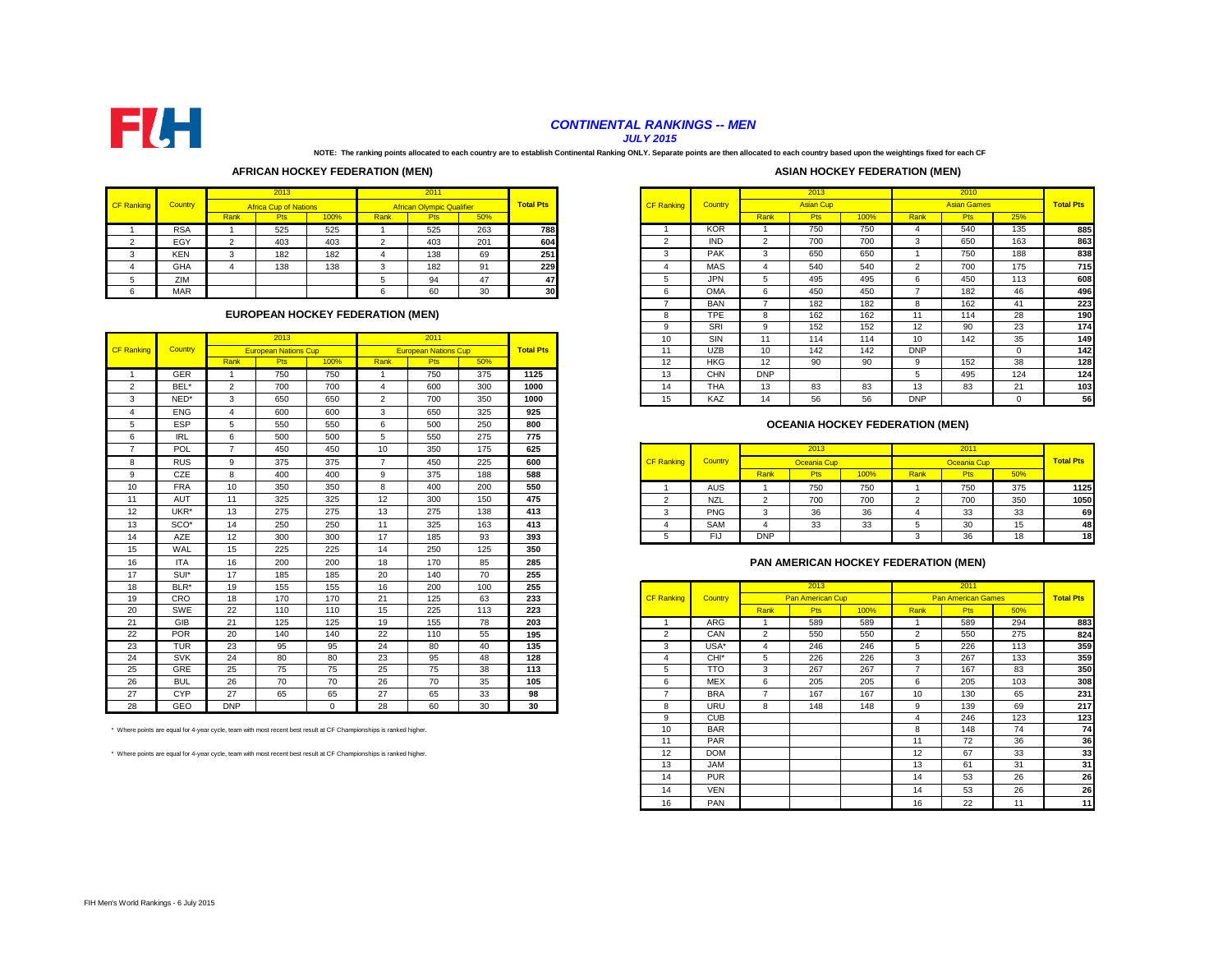

# *CONTINENTAL RANKINGS -- MEN*

*JULY 2015*

**NOTE: The ranking points allocated to each country are to establish Continental Ranking ONLY. Separate points are then allocated to each country based upon the weightings fixed for each CF** 

#### **AFRICAN HOCKEY FEDERATION (MEN)**

| <b>ASIAN HOCKEY FEDERATION (MEN)</b> |  |  |
|--------------------------------------|--|--|
|--------------------------------------|--|--|

|                   |                |            | 2013                         |      |      | 2011                             |     |                  |                   |
|-------------------|----------------|------------|------------------------------|------|------|----------------------------------|-----|------------------|-------------------|
| <b>CF Ranking</b> | <b>Country</b> |            | <b>Africa Cup of Nations</b> |      |      | <b>African Olympic Qualifier</b> |     | <b>Total Pts</b> | <b>CF Ranking</b> |
|                   |                | Rank       | <b>Pts</b>                   | 100% | Rank | Pts                              | 50% |                  |                   |
|                   | <b>RSA</b>     |            | 525                          | 525  |      | 525                              | 263 | 788              |                   |
|                   | EGY            | $\sqrt{2}$ | 403                          | 403  |      | 403                              | 201 | 604              |                   |
|                   | <b>KEN</b>     |            | 182                          | 182  |      | 138                              | 69  | 251              |                   |
|                   | <b>GHA</b>     | 4          | 138                          | 138  | ີ    | 182                              | 91  | 229              |                   |
|                   | ZIM            |            |                              |      |      | 94                               | 47  | 47               |                   |
|                   | <b>MAR</b>     |            |                              |      |      | 60                               | 30  | 30               |                   |

#### **EUROPEAN HOCKEY FEDERATION (MEN)**

|                   |                  |                | 2013                        |          |                | 2011                        |     |                  | 10                    | SIN              | 11                    | 114                                    | 114  | 10             | 142                       | 35           |
|-------------------|------------------|----------------|-----------------------------|----------|----------------|-----------------------------|-----|------------------|-----------------------|------------------|-----------------------|----------------------------------------|------|----------------|---------------------------|--------------|
| <b>CF Ranking</b> | Country          |                | <b>European Nations Cup</b> |          |                | <b>European Nations Cup</b> |     | <b>Total Pts</b> | 11                    | <b>UZB</b>       | 10                    | 142                                    | 142  | <b>DNP</b>     |                           | $\mathbf{0}$ |
|                   |                  | Rank           | Pts                         | 100%     | Rank           | <b>Pts</b>                  | 50% |                  | 12                    | <b>HKG</b>       | 12                    | 90                                     | 90   | 9              | 152                       | 38           |
|                   | <b>GER</b>       | $\overline{1}$ | 750                         | 750      |                | 750                         | 375 | 1125             | 13                    | CHN              | <b>DNP</b>            |                                        |      | 5              | 495                       | 124          |
| $\overline{2}$    | BEL*             | $\overline{2}$ | 700                         | 700      | $\overline{4}$ | 600                         | 300 | 1000             | 14                    | <b>THA</b>       | 13                    | 83                                     | 83   | 13             | 83                        | 21           |
| 3                 | NED*             | 3              | 650                         | 650      | $\overline{2}$ | 700                         | 350 | 1000             | 15                    | KAZ              | 14                    | 56                                     | 56   | <b>DNP</b>     |                           | $\mathbf 0$  |
| $\overline{4}$    | <b>ENG</b>       | 4              | 600                         | 600      | 3              | 650                         | 325 | 925              |                       |                  |                       |                                        |      |                |                           |              |
| 5                 | <b>ESP</b>       | 5              | 550                         | 550      | 6              | 500                         | 250 | 800              |                       |                  |                       | <b>OCEANIA HOCKEY FEDERATION (MEN)</b> |      |                |                           |              |
| 6                 | <b>IRL</b>       | 6              | 500                         | 500      | 5              | 550                         | 275 | 775              |                       |                  |                       |                                        |      |                |                           |              |
| $\overline{7}$    | POL              | $\overline{7}$ | 450                         | 450      | 10             | 350                         | 175 | 625              |                       |                  |                       | 2013                                   |      |                | 2011                      |              |
| 8                 | <b>RUS</b>       | 9              | 375                         | 375      | $\overline{7}$ | 450                         | 225 | 600              | <b>CF Ranking</b>     | Country          |                       | Oceania Cup                            |      |                | Oceania Cup               |              |
| 9                 | CZE              | 8              | 400                         | 400      | 9              | 375                         | 188 | 588              |                       |                  | Rank                  | <b>Pts</b>                             | 100% | Rank           | Pts                       | 50%          |
| 10                | <b>FRA</b>       | 10             | 350                         | 350      | 8              | 400                         | 200 | 550              |                       | <b>AUS</b>       | $\overline{1}$        | 750                                    | 750  |                | 750                       | 375          |
| 11                | AUT              | 11             | 325                         | 325      | 12             | 300                         | 150 | 475              | $\overline{2}$        | <b>NZL</b>       | $\overline{2}$        | 700                                    | 700  | $\overline{2}$ | 700                       | 350          |
| 12                | UKR*             | 13             | 275                         | 275      | 13             | 275                         | 138 | 413              | 3                     | <b>PNG</b>       | 3                     | 36                                     | 36   | 4              | 33                        | 33           |
| 13                | SCO <sup>*</sup> | 14             | 250                         | 250      | 11             | 325                         | 163 | 413              | $\boldsymbol{\Delta}$ | SAM              | $\boldsymbol{\Delta}$ | 33                                     | 33   | 5              | 30                        | 15           |
| 14                | AZE              | 12             | 300                         | 300      | 17             | 185                         | 93  | 393              | 5                     | <b>FIJ</b>       | <b>DNP</b>            |                                        |      | 3              | 36                        | 18           |
| 15                | WAL              | 15             | 225                         | 225      | 14             | 250                         | 125 | 350              |                       |                  |                       |                                        |      |                |                           |              |
| 16                | <b>ITA</b>       | 16             | 200                         | 200      | 18             | 170                         | 85  | 285              |                       |                  |                       | PAN AMERICAN HOCKEY FEDERATION (MEN)   |      |                |                           |              |
| 17                | SUI*             | 17             | 185                         | 185      | 20             | 140                         | 70  | 255              |                       |                  |                       |                                        |      |                |                           |              |
| 18                | BLR*             | 19             | 155                         | 155      | 16             | 200                         | 100 | 255              |                       |                  |                       | 2013                                   |      |                | 2011                      |              |
| 19                | CRO              | 18             | 170                         | 170      | 21             | 125                         | 63  | 233              | <b>CF Ranking</b>     | Country          |                       | <b>Pan American Cup</b>                |      |                | <b>Pan American Games</b> |              |
| 20                | SWE              | 22             | 110                         | 110      | 15             | 225                         | 113 | 223              |                       |                  | Rank                  | <b>Pts</b>                             | 100% | Rank           | Pts                       | 50%          |
| 21                | GIB              | 21             | 125                         | 125      | 19             | 155                         | 78  | 203              |                       | <b>ARG</b>       |                       | 589                                    | 589  | -1             | 589                       | 294          |
| 22                | POR              | 20             | 140                         | 140      | 22             | 110                         | 55  | 195              | 2                     | CAN              | $\overline{2}$        | 550                                    | 550  | $\overline{2}$ | 550                       | 275          |
| 23                | <b>TUR</b>       | 23             | 95                          | 95       | 24             | 80                          | 40  | 135              | 3                     | USA*             | $\boldsymbol{\Delta}$ | 246                                    | 246  | 5              | 226                       | 113          |
| 24                | <b>SVK</b>       | 24             | 80                          | 80       | 23             | 95                          | 48  | 128              | $\boldsymbol{\Delta}$ | CHI <sup>*</sup> | 5                     | 226                                    | 226  | 3              | 267                       | 133          |
| 25                | GRE              | 25             | 75                          | 75       | 25             | 75                          | 38  | 113              | 5                     | <b>TTO</b>       | 3                     | 267                                    | 267  | $\overline{7}$ | 167                       | 83           |
| 26                | <b>BUL</b>       | 26             | 70                          | 70       | 26             | 70                          | 35  | 105              | 6                     | <b>MEX</b>       | 6                     | 205                                    | 205  | 6              | 205                       | 103          |
| 27                | <b>CYP</b>       | 27             | 65                          | 65       | 27             | 65                          | 33  | 98               | $\overline{7}$        | <b>BRA</b>       | $\overline{7}$        | 167                                    | 167  | 10             | 130                       | 65           |
| 28                | GEO              | <b>DNP</b>     |                             | $\Omega$ | 28             | 60                          | 30  | 30               | 8                     | <b>URU</b>       | 8                     | 148                                    | 148  | 9              | 139                       | 69           |

\* Where points are equal for 4-year cycle, team with most recent best result at CF Championships is ranked higher.

\* Where points are equal for 4-year cycle, team with most recent best result at CF Championships is ranked higher.

|        |            |        | 2013                         |      |                                         | 2011                             |     |                  |                   |            |                | 2013             |      |                  | 2010               |     |                  |
|--------|------------|--------|------------------------------|------|-----------------------------------------|----------------------------------|-----|------------------|-------------------|------------|----------------|------------------|------|------------------|--------------------|-----|------------------|
| anking | Country    |        | <b>Africa Cup of Nations</b> |      |                                         | <b>African Olympic Qualifier</b> |     | <b>Total Pts</b> | <b>CF Ranking</b> | Country    |                | <b>Asian Cup</b> |      |                  | <b>Asian Games</b> |     | <b>Total Pts</b> |
|        |            | Rank   | <b>Pts</b>                   | 100% | Rank                                    | <b>Pts</b>                       | 50% |                  |                   |            | Rank           | <b>Pts</b>       | 100% | Rank             | <b>Pts</b>         | 25% |                  |
|        | <b>RSA</b> |        | 525                          | 525  |                                         | 525                              | 263 | 788              |                   | <b>KOR</b> |                | 750              | 750  |                  | 540                | 135 | 885              |
|        | EGY        | $\sim$ | 403                          | 403  | $\Omega$                                | 403                              | 201 | 604              | c                 | <b>IND</b> | $\overline{2}$ | 700              | 700  | $\overline{ }$   | 650                | 163 | 863              |
|        | <b>KEN</b> | $\sim$ | 182                          | 182  |                                         | 138                              | 69  | 251              | 3                 | <b>PAK</b> | 3              | 650              | 650  |                  | 750                | 188 | 838              |
|        | GHA        |        | 138                          | 138  | 3                                       | 182                              | 91  | 229              |                   | MAS        |                | 540              | 540  | $\mathcal{P}$    | 700                | 175 | 715              |
|        | ZIM        |        |                              |      |                                         | 94                               | 47  | 47               | 5                 | JPN.       | ÷.             | 495              | 495  |                  | 450                | 113 | 608              |
|        | <b>MAR</b> |        |                              |      | ь                                       | 60                               | 30  | 30               | b                 | <b>OMA</b> | 6              | 450              | 450  |                  | 182                | 46  | 496              |
|        |            |        |                              |      |                                         |                                  |     |                  |                   | <b>BAN</b> |                | 182              | 182  |                  | 162                | 41  | 223              |
|        |            |        |                              |      | <b>EUROPEAN HOCKEY FEDERATION (MEN)</b> |                                  |     |                  | $\sim$<br>×       | <b>TPE</b> | 8              | 162              | 162  | 11               | 114                | 28  | <b>190</b>       |
|        |            |        |                              |      |                                         |                                  |     |                  |                   | SRI        | q              | 152              | 152  | 12               | 90                 | 23  | 174              |
|        |            |        | 2013                         |      |                                         | 2011                             |     |                  | 10                | SIN        | 11             | 114              | 114  | 10 <sup>10</sup> | 142                | 35  | 149              |
| anking | Country    |        | <b>European Nations Cup</b>  |      |                                         | <b>European Nations Cup</b>      |     | <b>Total Pts</b> | 11                | <b>UZB</b> | 10             | 142              | 142  | <b>DNP</b>       |                    |     | 142              |
|        |            | Rank   | <b>Pts</b>                   | 100% | Rank                                    | <b>Pts</b>                       | 50% |                  | 12                | <b>HKG</b> | 12             | 90               | 90   |                  | 152                | 38  | 128              |
|        | GER        |        | 750                          | 750  |                                         | 750                              | 375 | 1125             | 13                | <b>CHN</b> | <b>DNP</b>     |                  |      |                  | 495                | 124 | 124              |
|        | BEL'       | $\sim$ | 700<br>700<br>600            |      |                                         |                                  |     | 1000             | 14                | <b>THA</b> | 13             | 83               | 83   | 13               | 83                 | 21  | 103              |
|        | NED*       | $\sim$ | 650                          | 650  | $\sqrt{2}$                              | 700                              | 350 | 1000             | 15                | KAZ        | 14             | 56               | 56   | <b>DNP</b>       |                    |     | 56               |

## **OCEANIA HOCKEY FEDERATION (MEN)**

|    | POL        |    | 450 | 450 | 10 | 350 | 175 | 625 |                   |                |            | 2013             |      |      | 2011             |     |                  |
|----|------------|----|-----|-----|----|-----|-----|-----|-------------------|----------------|------------|------------------|------|------|------------------|-----|------------------|
|    | <b>RUS</b> |    | 375 | 375 |    | 450 | 225 | 600 | <b>CF Ranking</b> | <b>Country</b> |            | Oceania Cup      |      |      |                  |     | <b>Total Pts</b> |
|    | CZE        |    | 400 | 400 |    | 375 | 188 | 588 |                   |                | Rank       | Pts <sup>1</sup> | 100% | Rank | Pts <sup>1</sup> | 50% |                  |
| 10 | <b>FRA</b> | 10 | 350 | 350 |    | 400 | 200 | 550 |                   | AUS            |            | 750              | 750  |      | 750              | 375 | 1125             |
|    | <b>AUT</b> |    | 325 | 325 |    | 300 | 150 | 475 |                   | <b>NZL</b>     |            | 700              | 700  |      | 700              | 350 | 1050             |
| 12 | UKR*       | 13 | 275 | 275 |    | 275 | 138 | 413 |                   | PNG            |            | <b>DC</b>        | 36   |      |                  | 33  | 69               |
| 13 | SCO*       | 14 | 250 | 250 |    | 325 | 163 | 413 |                   | SAM            |            | 33               | 33   |      |                  | 15  | 48               |
| 14 | AZE        | 12 | 300 | 300 |    | 185 | റാ  | 393 |                   | FIJ            | <b>DNP</b> |                  |      |      |                  | 18  | 18               |

#### **PAN AMERICAN HOCKEY FEDERATION (MEN)**

| 18 | BLR*       | 19         | 155                                                                                                            | 155          | 16 | 200 | 100 | 255 |                   |                  |      | 2013                    |      |                | 2011                      |     |                  |
|----|------------|------------|----------------------------------------------------------------------------------------------------------------|--------------|----|-----|-----|-----|-------------------|------------------|------|-------------------------|------|----------------|---------------------------|-----|------------------|
| 19 | CRO        | 18         | 170                                                                                                            | 170          | 21 | 125 | 63  | 233 | <b>CF Ranking</b> | Country          |      | <b>Pan American Cup</b> |      |                | <b>Pan American Games</b> |     | <b>Total Pts</b> |
| 20 | SWE        | 22         | 110                                                                                                            | 110          | 15 | 225 | 113 | 223 |                   |                  | Rank | <b>Pts</b>              | 100% | Rank           | <b>Pts</b>                | 50% |                  |
| 21 | GIB        | 21         | 125                                                                                                            | 125          | 19 | 155 | 78  | 203 |                   | ARG              |      | 589                     | 589  |                | 589                       | 294 | 883              |
| 22 | <b>POR</b> | 20         | 140                                                                                                            | 140          | 22 | 110 | 55  | 195 | $\overline{2}$    | CAN              | 2    | 550                     | 550  | $\overline{2}$ | 550                       | 275 | 824              |
| 23 | <b>TUR</b> | 23         | 95                                                                                                             | 95           | 24 | 80  | 40  | 135 | 3                 | $USA*$           | 4    | 246                     | 246  | $\mathcal{D}$  | 226                       | 113 | 359              |
| 24 | <b>SVK</b> | 24         | 80                                                                                                             | 80           | 23 | 95  | 48  | 128 |                   | CHI <sup>*</sup> | 5    | 226                     | 226  | 3              | 267                       | 133 | 359              |
| 25 | GRE        | 25         | 75                                                                                                             | 75           | 25 | 75  | 38  | 113 |                   | <b>TTO</b>       | 3    | 267                     | 267  |                | 167                       | 83  | 350              |
| 26 | <b>BUL</b> | 26         | 70                                                                                                             | 70           | 26 | 70  | 35  | 105 | 6                 | <b>MEX</b>       | 6    | 205                     | 205  | 6              | 205                       | 103 | 308              |
| 27 | CYP        | 27         | 65                                                                                                             | 65           | 27 | 65  | 33  | 98  |                   | <b>BRA</b>       |      | 167                     | 167  | 10             | 130                       | 65  | 231              |
| 28 | GEO        | <b>DNP</b> |                                                                                                                | $\mathbf{0}$ | 28 | 60  | 30  | 30  | 8                 | URU              | 8    | 148                     | 148  | 9              | 139                       | 69  | 217              |
|    |            |            |                                                                                                                |              |    |     |     |     | <b>q</b>          | <b>CUB</b>       |      |                         |      |                | 246                       | 123 | 123              |
|    |            |            | ere points are equal for 4-year cycle, team with most recent best result at CF Championships is ranked higher. |              |    |     |     |     | 10 <sup>1</sup>   | <b>BAR</b>       |      |                         |      | 8              | 148                       | 74  | 74               |
|    |            |            |                                                                                                                |              |    |     |     |     | 11                | PAR              |      |                         |      | 11             | 72                        | 36  | 36               |
|    |            |            | ere points are equal for 4-year cycle, team with most recent best result at CF Championships is ranked higher. |              |    |     |     |     | 12                | <b>DOM</b>       |      |                         |      | 12             | 67                        | 33  | 33               |
|    |            |            |                                                                                                                |              |    |     |     |     | 13                | <b>JAM</b>       |      |                         |      | 13             | 61                        | 31  | 31               |
|    |            |            |                                                                                                                |              |    |     |     |     | 14                | <b>PUR</b>       |      |                         |      | 14             | 53                        | 26  | 26               |
|    |            |            |                                                                                                                |              |    |     |     |     | 14                | <b>VEN</b>       |      |                         |      | 14             | 53                        | 26  | 26               |
|    |            |            |                                                                                                                |              |    |     |     |     | 16                | PAN              |      |                         |      | 16             | 22                        |     | 11               |